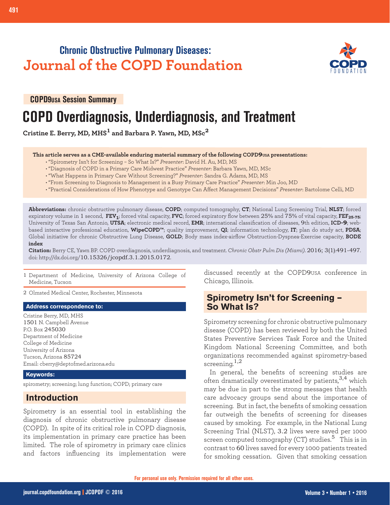## **Chronic Obstructive Pulmonary Diseases: Journal of the COPD Foundation**



**COPD9USA Session Summary**

# **COPD Overdiagnosis, Underdiagnosis, and Treatment**

**Cristine E. Berry, MD, MHS1 and Barbara P. Yawn, MD, MSc<sup>2</sup>**

#### **This article serves as a CME-available enduring material summary of the following COPD9USA presentations:**

- "Spirometry Isn't for Screening So What Is?" *Presenter*: David H. Au, MD, MS
- "Diagnosis of COPD in a Primary Care Midwest Practice" *Presenter*: Barbara Yawn, MD, MSc
- "What Happens in Primary Care Without Screening?" *Presenter*: Sandra G. Adams, MD, MS
- "From Screening to Diagnosis to Management in a Busy Primary Care Practice" *Presenter*: Min Joo, MD
- "Practical Considerations of How Phenotype and Genotype Can Affect Management Decisions" *Presenter*: Bartolome Celli, MD

**Abbreviations:** chronic obstructive pulmonary disease, **COPD**; computed tomography, **CT**; National Lung Screening Trial, **NLST**; forced expiratory volume in 1 second, **FEV1**; forced vital capacity, **FVC**; forced expiratory flow between 25% and 75% of vital capacity, **FEF25-75**; University of Texas San Antonio, **UTSA**; electronic medical record, **EMR**; international classification of diseases, 9th edition, **ICD-9**; webbased interactive professional education, **WipeCOPD™**; quality improvement, **QI**; information technology, **IT**; plan do study act, **PDSA**; Global initiative for chronic Obstructive Lung Disease, **GOLD**; Body mass index-airflow Obstruction-Dyspnea-Exercise capacity, **BODE index**

**Citation:** Berry CE, Yawn BP. COPD overdiagnosis, underdiagnosis, and treatment. *Chronic Obstr Pulm Dis (Miami)*. 2016; 3(1):491-497. doi: http://dx.doi.org/10.15326/jcopdf.3.1.2015.0172.

1 Department of Medicine, University of Arizona College of Medicine, Tucson

2 Olmsted Medical Center, Rochester, Minnesota

#### **Address correspondence to:**

Cristine Berry, MD, MHS 1501 N. Campbell Avenue P.O. Box 245030 Department of Medicine College of Medicine University of Arizona Tucson, Arizona 85724 Email: cberry@deptofmed.arizona.edu

#### **Keywords:**

spirometry; screening; lung function; COPD; primary care

## **Introduction**

Spirometry is an essential tool in establishing the diagnosis of chronic obstructive pulmonary disease (COPD). In spite of its critical role in COPD diagnosis, its implementation in primary care practice has been limited. The role of spirometry in primary care clinics and factors influencing its implementation were discussed recently at the COPD9USA conference in Chicago, Illinois.

## **Spirometry Isn't for Screening – So What Is?**

Spirometry screening for chronic obstructive pulmonary disease (COPD) has been reviewed by both the United States Preventive Services Task Force and the United Kingdom National Screening Committee, and both organizations recommended against spirometry-based screening. $1,2$ 

In general, the benefits of screening studies are often dramatically overestimated by patients,  $3,4$  which may be due in part to the strong messages that health care advocacy groups send about the importance of screening. But in fact, the benefits of smoking cessation far outweigh the benefits of screening for diseases caused by smoking. For example, in the National Lung Screening Trial (NLST), 3.2 lives were saved per 1000 screen computed tomography  $(CT)$  studies.<sup>5</sup> This is in contrast to 60 lives saved for every 1000 patients treated for smoking cessation. Given that smoking cessation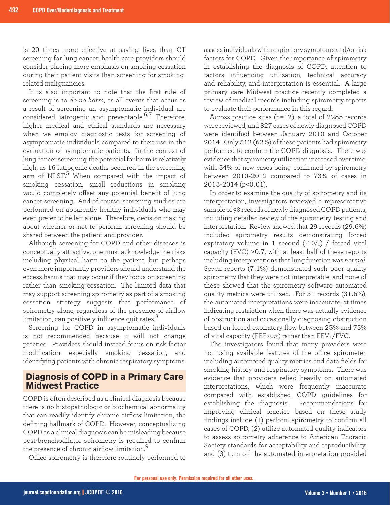is 20 times more effective at saving lives than CT screening for lung cancer, health care providers should consider placing more emphasis on smoking cessation during their patient visits than screening for smokingrelated malignancies.

It is also important to note that the first rule of screening is to *do no harm*, as all events that occur as a result of screening an asymptomatic individual are considered iatrogenic and preventable. $6,7$  Therefore, higher medical and ethical standards are necessary when we employ diagnostic tests for screening of asymptomatic individuals compared to their use in the evaluation of symptomatic patients. In the context of lung cancer screening, the potential for harm is relatively high, as 16 iatrogenic deaths occurred in the screening arm of NLST.<sup>5</sup> When compared with the impact of smoking cessation, small reductions in smoking would completely offset any potential benefit of lung cancer screening. And of course, screening studies are performed on apparently healthy individuals who may even prefer to be left alone. Therefore, decision making about whether or not to perform screening should be shared between the patient and provider.

Although screening for COPD and other diseases is conceptually attractive, one must acknowledge the risks including physical harm to the patient, but perhaps even more importantly providers should understand the excess harms that may occur if they focus on screening rather than smoking cessation. The limited data that may support screening spirometry as part of a smoking cessation strategy suggests that performance of spirometry alone, regardless of the presence of airflow limitation, can positively influence quit rates.<sup>8</sup>

Screening for COPD in asymptomatic individuals is not recommended because it will not change practice. Providers should instead focus on risk factor modification, especially smoking cessation, and identifying patients with chronic respiratory symptoms.

## **Diagnosis of COPD in a Primary Care Midwest Practice**

COPD is often described as a clinical diagnosis because there is no histopathologic or biochemical abnormality that can readily identify chronic airflow limitation, the defining hallmark of COPD. However, conceptualizing COPD as a clinical diagnosis can be misleading because post-bronchodilator spirometry is required to confirm the presence of chronic airflow limitation.<sup>9</sup>

Office spirometry is therefore routinely performed to

assess individuals with respiratory symptoms and/or risk factors for COPD. Given the importance of spirometry in establishing the diagnosis of COPD, attention to factors influencing utilization, technical accuracy and reliability, and interpretation is essential. A large primary care Midwest practice recently completed a review of medical records including spirometry reports to evaluate their performance in this regard.

Across practice sites (n=12), a total of 2285 records were reviewed, and 827 cases of newly diagnosed COPD were identified between January 2010 and October 2014. Only 512 (62%) of these patients had spirometry performed to confirm the COPD diagnosis. There was evidence that spirometry utilization increased over time, with 54% of new cases being confirmed by spirometry between 2010-2012 compared to 73% of cases in 2013-2014 (*p*<0.01).

In order to examine the quality of spirometry and its interpretation, investigators reviewed a representative sample of 98 records of newly diagnosed COPD patients, including detailed review of the spirometry testing and interpretation. Review showed that 29 records (29.6%) included spirometry results demonstrating forced expiratory volume in 1 second (FEV1) / forced vital capacity (FVC) >0.7, with at least half of these reports including interpretations that lung function was *normal*. Seven reports (7.1%) demonstrated such poor quality spirometry that they were not interpretable, and none of these showed that the spirometry software automated quality metrics were utilized. For 31 records (31.6%), the automated interpretations were inaccurate, at times indicating restriction when there was actually evidence of obstruction and occasionally diagnosing obstruction based on forced expiratory flow between 25% and 75% of vital capacity (FEF<sub>25-75</sub>) rather than  $FEV_1/FVC$ .

The investigators found that many providers were not using available features of the office spirometer, including automated quality metrics and data fields for smoking history and respiratory symptoms. There was evidence that providers relied heavily on automated interpretations, which were frequently inaccurate compared with established COPD guidelines for establishing the diagnosis. Recommendations for improving clinical practice based on these study findings include (1) perform spirometry to confirm all cases of COPD, (2) utilize automated quality indicators to assess spirometry adherence to American Thoracic Society standards for acceptability and reproducibility, and (3) turn off the automated interpretation provided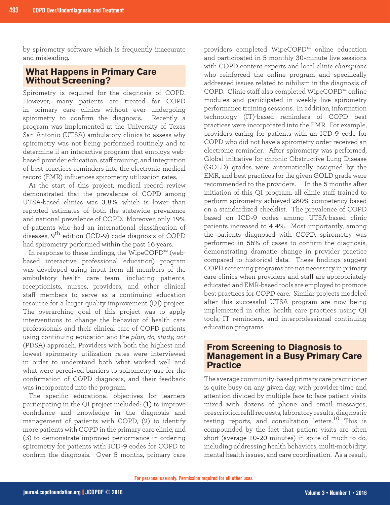by spirometry software which is frequently inaccurate and misleading.

## **What Happens in Primary Care Without Screening?**

Spirometry is required for the diagnosis of COPD. However, many patients are treated for COPD in primary care clinics without ever undergoing spirometry to confirm the diagnosis. Recently a program was implemented at the University of Texas San Antonio (UTSA) ambulatory clinics to assess why spirometry was not being performed routinely and to determine if an interactive program that employs webbased provider education, staff training, and integration of best practices reminders into the electronic medical record (EMR) influences spirometry utilization rates.

At the start of this project, medical record review demonstrated that the prevalence of COPD among UTSA-based clinics was 3.8%, which is lower than reported estimates of both the statewide prevalence and national prevalence of COPD. Moreover, only 19% of patients who had an international classification of diseases, 9<sup>th</sup> edition (ICD-9) code diagnosis of COPD had spirometry performed within the past 16 years.

In response to these findings, the WipeCOPD™ (webbased interactive professional education) program was developed using input from all members of the ambulatory health care team, including patients, receptionists, nurses, providers, and other clinical staff members to serve as a continuing education resource for a larger quality improvement (QI) project. The overarching goal of this project was to apply interventions to change the behavior of health care professionals and their clinical care of COPD patients using continuing education and the *plan, do, study, act* (PDSA) approach. Providers with both the highest and lowest spirometry utilization rates were interviewed in order to understand both what worked well and what were perceived barriers to spirometry use for the confirmation of COPD diagnosis, and their feedback was incorporated into the program.

The specific educational objectives for learners participating in the QI project included: (1) to improve confidence and knowledge in the diagnosis and management of patients with COPD, (2) to identify more patients with COPD in the primary care clinic, and (3) to demonstrate improved performance in ordering spirometry for patients with ICD-9 codes for COPD to confirm the diagnosis. Over 5 months, primary care

providers completed WipeCOPD™ online education and participated in 5 monthly 30-minute live sessions with COPD content experts and local clinic *champions* who reinforced the online program and specifically addressed issues related to nihilism in the diagnosis of COPD. Clinic staff also completed WipeCOPD™ online modules and participated in weekly live spirometry performance training sessions. In addition, information technology (IT)-based reminders of COPD best practices were incorporated into the EMR. For example, providers caring for patients with an ICD-9 code for COPD who did not have a spirometry order received an electronic reminder. After spirometry was performed, Global initiative for chronic Obstructive Lung Disease (GOLD) grades were automatically assigned by the EMR, and best practices for the given GOLD grade were recommended to the providers. In the 5 months after initiation of this QI program, all clinic staff trained to perform spirometry achieved ≥80% competency based on a standardized checklist. The prevalence of COPD based on ICD-9 codes among UTSA-based clinic patients increased to 4.4%. Most importantly, among the patients diagnosed with COPD, spirometry was performed in 56% of cases to confirm the diagnosis, demonstrating dramatic change in provider practice compared to historical data. These findings suggest COPD screening programs are not necessary in primary care clinics when providers and staff are appropriately educated and EMR-based tools are employed to promote best practices for COPD care. Similar projects modeled after this successful UTSA program are now being implemented in other health care practices using QI tools, IT reminders, and interprofessional continuing education programs.

### **From Screening to Diagnosis to Management in a Busy Primary Care Practice**

The average community-based primary care practitioner is quite busy on any given day, with provider time and attention divided by multiple face-to-face patient visits mixed with dozens of phone and email messages, prescription refill requests, laboratory results, diagnostic testing reports, and consultation letters.10 This is compounded by the fact that patient visits are often short (average 10-20 minutes) in spite of much to do, including addressing health behaviors, multi-morbidity, mental health issues, and care coordination. As a result,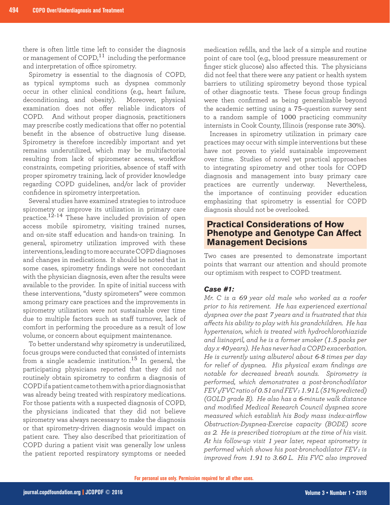there is often little time left to consider the diagnosis or management of COPD, $^{11}$  including the performance and interpretation of office spirometry.

Spirometry is essential to the diagnosis of COPD, as typical symptoms such as dyspnea commonly occur in other clinical conditions (e.g., heart failure, deconditioning, and obesity). Moreover, physical examination does not offer reliable indicators of COPD. And without proper diagnosis, practitioners may prescribe costly medications that offer no potential benefit in the absence of obstructive lung disease. Spirometry is therefore incredibly important and yet remains underutilized, which may be multifactorial resulting from lack of spirometer access, workflow constraints, competing priorities, absence of staff with proper spirometry training, lack of provider knowledge regarding COPD guidelines, and/or lack of provider confidence in spirometry interpretation.

Several studies have examined strategies to introduce spirometry or improve its utilization in primary care practice.<sup>12-14</sup> These have included provision of open access mobile spirometry, visiting trained nurses, and on-site staff education and hands-on training. In general, spirometry utilization improved with these interventions, leading to more accurate COPD diagnoses and changes in medications. It should be noted that in some cases, spirometry findings were not concordant with the physician diagnosis, even after the results were available to the provider. In spite of initial success with these interventions, "dusty spirometers" were common among primary care practices and the improvements in spirometry utilization were not sustainable over time due to multiple factors such as staff turnover, lack of comfort in performing the procedure as a result of low volume, or concern about equipment maintenance.

To better understand why spirometry is underutilized, focus groups were conducted that consisted of internists from a single academic institution.15 In general, the participating physicians reported that they did not routinely obtain spirometry to confirm a diagnosis of COPD if a patient came to them with a prior diagnosis that was already being treated with respiratory medications. For those patients with a suspected diagnosis of COPD, the physicians indicated that they did not believe spirometry was always necessary to make the diagnosis or that spirometry-driven diagnosis would impact on patient care. They also described that prioritization of COPD during a patient visit was generally low unless the patient reported respiratory symptoms or needed

medication refills, and the lack of a simple and routine point of care tool (e.g., blood pressure measurement or finger stick glucose) also affected this. The physicians did not feel that there were any patient or health system barriers to utilizing spirometry beyond those typical of other diagnostic tests. These focus group findings were then confirmed as being generalizable beyond the academic setting using a 75-question survey sent to a random sample of 1000 practicing community internists in Cook County, Illinois (response rate 30%).

Increases in spirometry utilization in primary care practices may occur with simple interventions but these have not proven to yield sustainable improvement over time. Studies of novel yet practical approaches to integrating spirometry and other tools for COPD diagnosis and management into busy primary care practices are currently underway. Nevertheless, the importance of continuing provider education emphasizing that spirometry is essential for COPD diagnosis should not be overlooked.

### **Practical Considerations of How Phenotype and Genotype Can Affect Management Decisions**

Two cases are presented to demonstrate important points that warrant our attention and should promote our optimism with respect to COPD treatment.

#### *Case #1:*

*Mr. C is a 69 year old male who worked as a roofer prior to his retirement. He has experienced exertional dyspnea over the past 7 years and is frustrated that this affects his ability to play with his grandchildren. He has hypertension, which is treated with hydrochlorothiazide and lisinopril, and he is a former smoker (1.5 packs per day x 40 years). He has never had a COPD exacerbation. He is currently using albuterol about 6-8 times per day for relief of dyspnea. His physical exam findings are notable for decreased breath sounds. Spirometry is performed, which demonstrates a post-bronchodilator FEV1/FVC ratio of 0.51 and FEV<sup>1</sup> 1.91 L (51% predicted) (GOLD grade B). He also has a 6-minute walk distance and modified Medical Research Council dyspnea score measured which establish his Body mass index-airflow Obstruction-Dyspnea-Exercise capacity (BODE) score as 2. He is prescribed tiotropium at the time of his visit. At his follow-up visit 1 year later, repeat spirometry is performed which shows his post-bronchodilator FEV1 is improved from 1.91 to 3.60 L. His FVC also improved*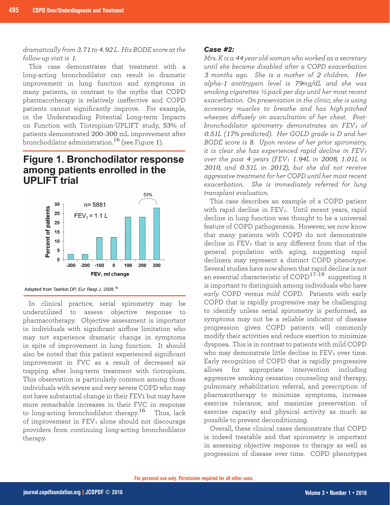*dramatically from 3.71 to 4.92 L. His BODE score at the follow-up visit is 1.* 

This case demonstrates that treatment with a long-acting bronchodilator can result in dramatic improvement in lung function and symptoms in many patients, in contrast to the myths that COPD pharmacotherapy is relatively ineffective and COPD patients cannot significantly improve. For example, in the Understanding Potential Long-term Impacts on Function with Tiotropium-UPLIFT study, 53% of patients demonstrated 200-300 mL improvement after bronchodilator administration.<sup>16</sup> (see Figure 1).

## **Figure 1. Bronchodilator response** among patients enrolled in the **UPLIFT** trial



Adapted from Tashkin DP, Eur Resp J. 2008.<sup>16</sup>

In clinical practice, serial spirometry may be underutilized to assess objective response to pharmacotherapy. Objective assessment is important in individuals with significant airflow limitation who may not experience dramatic change in symptoms in spite of improvement in lung function. It should also be noted that this patient experienced significant improvement in FVC as a result of decreased air trapping after long-term treatment with tiotropium. This observation is particularly common among those individuals with severe and very severe COPD who may not have substantial change in their FEV1 but may have more remarkable increases in their FVC in response to long-acting bronchodilator therapy.16 Thus, lack of improvement in FEV<sub>1</sub> alone should not discourage providers from continuing long-acting bronchodilator therapy.

#### *Case #2:*

*Mrs. K is a 44 year old woman who worked as a secretary until she became disabled after a COPD exacerbation 3 months ago. She is a mother of 2 children. Her alpha-1 antitrypsin level is 79mg/dL and she was smoking cigarettes ½ pack per day until her most recent exacerbation. On presentation in the clinic, she is using accessory muscles to breathe and has high-pitched wheezes diffusely on auscultation of her chest. Postbronchodilator spirometry demonstrates an FEV1 of 0.51L (17% predicted). Her GOLD grade is D and her BODE score is 8. Upon review of her prior spirometry, it is clear she has experienced rapid decline in FEV<sup>1</sup> over the past 4 years (FEV<sup>1</sup> 1.94L in 2008, 1.01L in 2010, and 0.51L in 2012), but she did not receive aggressive treatment for her COPD until her most recent exacerbation. She is immediately referred for lung transplant evaluation.*

This case describes an example of a COPD patient with rapid decline in  $FEV<sub>1</sub>$ . Until recent years, rapid decline in lung function was thought to be a universal feature of COPD pathogenesis. However, we now know that many patients with COPD do not demonstrate decline in  $FEV_1$  that is any different from that of the general population with aging, suggesting rapid decliners may represent a distinct COPD phenotype. Several studies have now shown that rapid decline is not an essential characteristic of  $\text{COPD}^{17-19}$  suggesting it is important to distinguish among individuals who have *early* COPD versus *mild* COPD. Patients with early COPD that is rapidly progressive may be challenging to identify unless serial spirometry is performed, as symptoms may not be a reliable indicator of disease progression given COPD patients will commonly modify their activities and reduce exertion to minimize dyspnea. This is in contrast to patients with mild COPD who may demonstrate little decline in  $FEV<sub>1</sub>$  over time. Early recognition of COPD that is rapidly progressive allows for appropriate intervention including aggressive smoking cessation counseling and therapy, pulmonary rehabilitation referral, and prescription of pharmacotherapy to minimize symptoms, increase exercise tolerance, and maximize preservation of exercise capacity and physical activity as much as possible to prevent deconditioning.

Overall, these clinical cases demonstrate that COPD is indeed treatable and that spirometry is important in assessing objective response to therapy as well as progression of disease over time. COPD phenotypes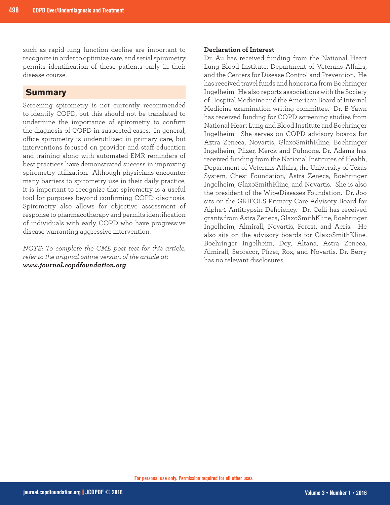such as rapid lung function decline are important to recognize in order to optimize care, and serial spirometry permits identification of these patients early in their disease course.

### **Summary**

Screening spirometry is not currently recommended to identify COPD, but this should not be translated to undermine the importance of spirometry to confirm the diagnosis of COPD in suspected cases. In general, office spirometry is underutilized in primary care, but interventions focused on provider and staff education and training along with automated EMR reminders of best practices have demonstrated success in improving spirometry utilization. Although physicians encounter many barriers to spirometry use in their daily practice, it is important to recognize that spirometry is a useful tool for purposes beyond confirming COPD diagnosis. Spirometry also allows for objective assessment of response to pharmacotherapy and permits identification of individuals with early COPD who have progressive disease warranting aggressive intervention.

*NOTE: To complete the CME post test for this article, refer to the original online version of the article at: www.journal.copdfoundation.org*

#### **Declaration of Interest**

Dr. Au has received funding from the National Heart Lung Blood Institute, Department of Veterans Affairs, and the Centers for Disease Control and Prevention. He has received travel funds and honoraria from Boehringer Ingelheim. He also reports associations with the Society of Hospital Medicine and the American Board of Internal Medicine examination writing committee. Dr. B Yawn has received funding for COPD screening studies from National Heart Lung and Blood Institute and Boehringer Ingelheim. She serves on COPD advisory boards for Aztra Zeneca, Novartis, GlaxoSmithKline, Boehringer Ingelheim, Pfizer, Merck and Pulmone. Dr. Adams has received funding from the National Institutes of Health, Department of Veterans Affairs, the University of Texas System, Chest Foundation, Astra Zeneca, Boehringer Ingelheim, GlaxoSmithKline, and Novartis. She is also the president of the WipeDiseases Foundation. Dr. Joo sits on the GRIFOLS Primary Care Advisory Board for Alpha-1 Antitrypsin Deficiency. Dr. Celli has received grants from Astra Zeneca, GlaxoSmithKline, Boehringer Ingelheim, Almirall, Novartis, Forest, and Aeris. He also sits on the advisory boards for GlaxoSmithKline, Boehringer Ingelheim, Dey, Altana, Astra Zeneca, Almirall, Sepracor, Pfizer, Rox, and Novartis. Dr. Berry has no relevant disclosures.